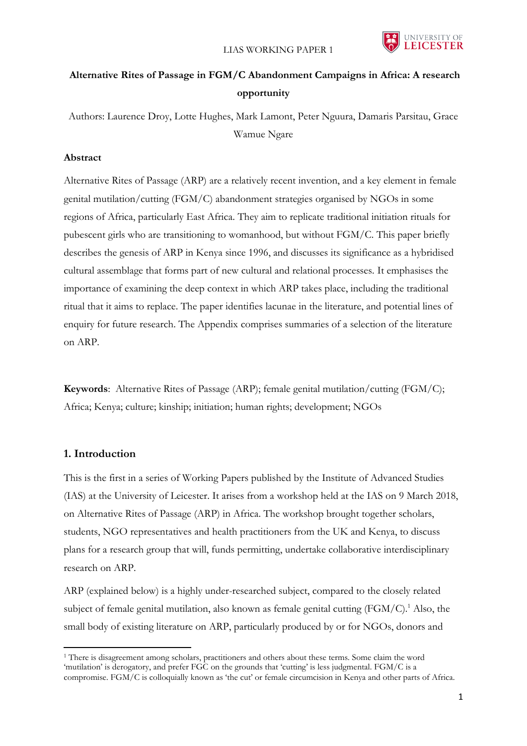

# **Alternative Rites of Passage in FGM/C Abandonment Campaigns in Africa: A research opportunity**

Authors: Laurence Droy, Lotte Hughes, Mark Lamont, Peter Nguura, Damaris Parsitau, Grace Wamue Ngare

### **Abstract**

Alternative Rites of Passage (ARP) are a relatively recent invention, and a key element in female genital mutilation/cutting (FGM/C) abandonment strategies organised by NGOs in some regions of Africa, particularly East Africa. They aim to replicate traditional initiation rituals for pubescent girls who are transitioning to womanhood, but without FGM/C. This paper briefly describes the genesis of ARP in Kenya since 1996, and discusses its significance as a hybridised cultural assemblage that forms part of new cultural and relational processes. It emphasises the importance of examining the deep context in which ARP takes place, including the traditional ritual that it aims to replace. The paper identifies lacunae in the literature, and potential lines of enquiry for future research. The Appendix comprises summaries of a selection of the literature on ARP.

**Keywords**: Alternative Rites of Passage (ARP); female genital mutilation/cutting (FGM/C); Africa; Kenya; culture; kinship; initiation; human rights; development; NGOs

### **1. Introduction**

 $\overline{a}$ 

This is the first in a series of Working Papers published by the Institute of Advanced Studies (IAS) at the University of Leicester. It arises from a workshop held at the IAS on 9 March 2018, on Alternative Rites of Passage (ARP) in Africa. The workshop brought together scholars, students, NGO representatives and health practitioners from the UK and Kenya, to discuss plans for a research group that will, funds permitting, undertake collaborative interdisciplinary research on ARP.

ARP (explained below) is a highly under-researched subject, compared to the closely related subject of female genital mutilation, also known as female genital cutting  $(FGM/C)^1$ . Also, the small body of existing literature on ARP, particularly produced by or for NGOs, donors and

<sup>&</sup>lt;sup>1</sup> There is disagreement among scholars, practitioners and others about these terms. Some claim the word 'mutilation' is derogatory, and prefer FGC on the grounds that 'cutting' is less judgmental. FGM/C is a compromise. FGM/C is colloquially known as 'the cut' or female circumcision in Kenya and other parts of Africa.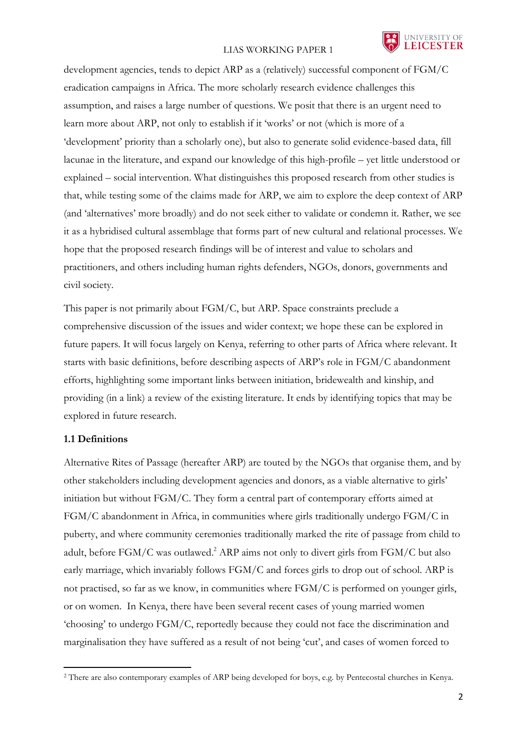

development agencies, tends to depict ARP as a (relatively) successful component of FGM/C eradication campaigns in Africa. The more scholarly research evidence challenges this assumption, and raises a large number of questions. We posit that there is an urgent need to learn more about ARP, not only to establish if it 'works' or not (which is more of a 'development' priority than a scholarly one), but also to generate solid evidence-based data, fill lacunae in the literature, and expand our knowledge of this high-profile – yet little understood or explained – social intervention. What distinguishes this proposed research from other studies is that, while testing some of the claims made for ARP, we aim to explore the deep context of ARP (and 'alternatives' more broadly) and do not seek either to validate or condemn it. Rather, we see it as a hybridised cultural assemblage that forms part of new cultural and relational processes. We hope that the proposed research findings will be of interest and value to scholars and practitioners, and others including human rights defenders, NGOs, donors, governments and civil society.

This paper is not primarily about FGM/C, but ARP. Space constraints preclude a comprehensive discussion of the issues and wider context; we hope these can be explored in future papers. It will focus largely on Kenya, referring to other parts of Africa where relevant. It starts with basic definitions, before describing aspects of ARP's role in FGM/C abandonment efforts, highlighting some important links between initiation, bridewealth and kinship, and providing (in a link) a review of the existing literature. It ends by identifying topics that may be explored in future research.

### **1.1 Definitions**

1

Alternative Rites of Passage (hereafter ARP) are touted by the NGOs that organise them, and by other stakeholders including development agencies and donors, as a viable alternative to girls' initiation but without FGM/C. They form a central part of contemporary efforts aimed at FGM/C abandonment in Africa, in communities where girls traditionally undergo FGM/C in puberty, and where community ceremonies traditionally marked the rite of passage from child to adult, before FGM/C was outlawed. <sup>2</sup> ARP aims not only to divert girls from FGM/C but also early marriage, which invariably follows FGM/C and forces girls to drop out of school. ARP is not practised, so far as we know, in communities where FGM/C is performed on younger girls, or on women. In Kenya, there have been several recent cases of young married women 'choosing' to undergo FGM/C, reportedly because they could not face the discrimination and marginalisation they have suffered as a result of not being 'cut', and cases of women forced to

<sup>2</sup> There are also contemporary examples of ARP being developed for boys, e.g. by Pentecostal churches in Kenya.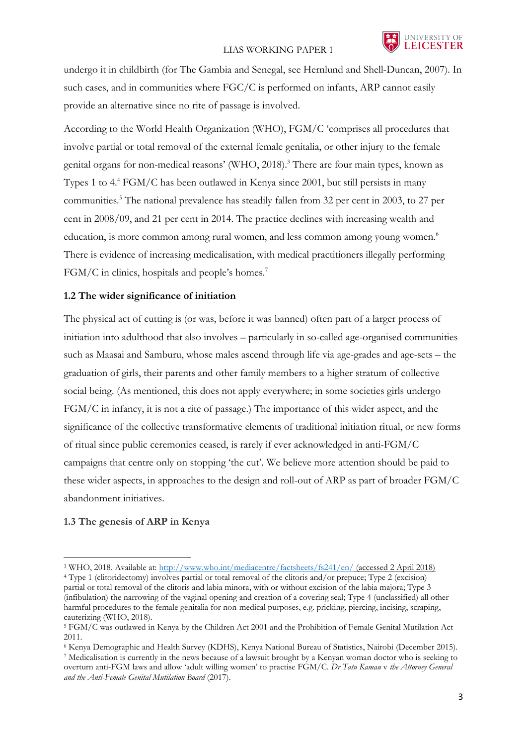

undergo it in childbirth (for The Gambia and Senegal, see Hernlund and Shell-Duncan, 2007). In such cases, and in communities where FGC/C is performed on infants, ARP cannot easily provide an alternative since no rite of passage is involved.

According to the World Health Organization (WHO), FGM/C 'comprises all procedures that involve partial or total removal of the external female genitalia, or other injury to the female genital organs for non-medical reasons' (WHO, 2018).<sup>3</sup> There are four main types, known as Types 1 to 4. <sup>4</sup> FGM/C has been outlawed in Kenya since 2001, but still persists in many communities.<sup>5</sup> The national prevalence has steadily fallen from 32 per cent in 2003, to 27 per cent in 2008/09, and 21 per cent in 2014. The practice declines with increasing wealth and education, is more common among rural women, and less common among young women.<sup>6</sup> There is evidence of increasing medicalisation, with medical practitioners illegally performing FGM/C in clinics, hospitals and people's homes.<sup>7</sup>

### **1.2 The wider significance of initiation**

The physical act of cutting is (or was, before it was banned) often part of a larger process of initiation into adulthood that also involves – particularly in so-called age-organised communities such as Maasai and Samburu, whose males ascend through life via age-grades and age-sets – the graduation of girls, their parents and other family members to a higher stratum of collective social being. (As mentioned, this does not apply everywhere; in some societies girls undergo FGM/C in infancy, it is not a rite of passage.) The importance of this wider aspect, and the significance of the collective transformative elements of traditional initiation ritual, or new forms of ritual since public ceremonies ceased, is rarely if ever acknowledged in anti-FGM/C campaigns that centre only on stopping 'the cut'. We believe more attention should be paid to these wider aspects, in approaches to the design and roll-out of ARP as part of broader FGM/C abandonment initiatives.

### **1.3 The genesis of ARP in Kenya**

1

partial or total removal of the clitoris and labia minora, with or without excision of the labia majora; Type 3 (infibulation) the narrowing of the vaginal opening and creation of a covering seal; Type 4 (unclassified) all other harmful procedures to the female genitalia for non-medical purposes, e.g. pricking, piercing, incising, scraping, cauterizing (WHO, 2018).

<sup>3</sup> WHO, 2018. Available at:<http://www.who.int/mediacentre/factsheets/fs241/en/> (accessed 2 April 2018) <sup>4</sup> Type 1 (clitoridectomy) involves partial or total removal of the clitoris and/or prepuce; Type 2 (excision)

<sup>5</sup> FGM/C was outlawed in Kenya by the Children Act 2001 and the Prohibition of Female Genital Mutilation Act 2011.

<sup>6</sup> Kenya Demographic and Health Survey (KDHS), Kenya National Bureau of Statistics, Nairobi (December 2015). <sup>7</sup> Medicalisation is currently in the news because of a lawsuit brought by a Kenyan woman doctor who is seeking to overturn anti-FGM laws and allow 'adult willing women' to practise FGM/C. *Dr Tatu Kamau* v *the Attorney General and the Anti-Female Genital Mutilation Board* (2017).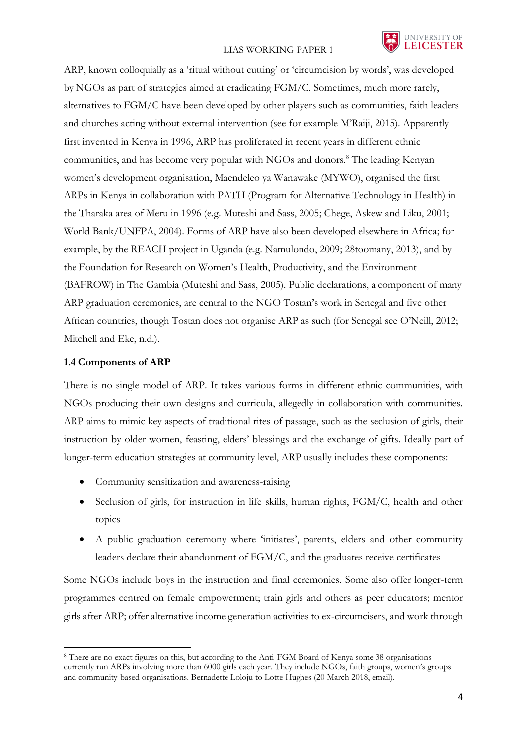

ARP, known colloquially as a 'ritual without cutting' or 'circumcision by words', was developed by NGOs as part of strategies aimed at eradicating FGM/C. Sometimes, much more rarely, alternatives to FGM/C have been developed by other players such as communities, faith leaders and churches acting without external intervention (see for example M'Raiji, 2015). Apparently first invented in Kenya in 1996, ARP has proliferated in recent years in different ethnic communities, and has become very popular with NGOs and donors.<sup>8</sup> The leading Kenyan women's development organisation, Maendeleo ya Wanawake (MYWO), organised the first ARPs in Kenya in collaboration with PATH (Program for Alternative Technology in Health) in the Tharaka area of Meru in 1996 (e.g. Muteshi and Sass, 2005; Chege, Askew and Liku, 2001; World Bank/UNFPA, 2004). Forms of ARP have also been developed elsewhere in Africa; for example, by the REACH project in Uganda (e.g. Namulondo, 2009; 28toomany, 2013), and by the Foundation for Research on Women's Health, Productivity, and the Environment (BAFROW) in The Gambia (Muteshi and Sass, 2005). Public declarations, a component of many ARP graduation ceremonies, are central to the NGO Tostan's work in Senegal and five other African countries, though Tostan does not organise ARP as such (for Senegal see O'Neill, 2012; Mitchell and Eke, n.d.).

#### **1.4 Components of ARP**

 $\overline{a}$ 

There is no single model of ARP. It takes various forms in different ethnic communities, with NGOs producing their own designs and curricula, allegedly in collaboration with communities. ARP aims to mimic key aspects of traditional rites of passage, such as the seclusion of girls, their instruction by older women, feasting, elders' blessings and the exchange of gifts. Ideally part of longer-term education strategies at community level, ARP usually includes these components:

- Community sensitization and awareness-raising
- Seclusion of girls, for instruction in life skills, human rights, FGM/C, health and other topics
- A public graduation ceremony where 'initiates', parents, elders and other community leaders declare their abandonment of FGM/C, and the graduates receive certificates

Some NGOs include boys in the instruction and final ceremonies. Some also offer longer-term programmes centred on female empowerment; train girls and others as peer educators; mentor girls after ARP; offer alternative income generation activities to ex-circumcisers, and work through

<sup>8</sup> There are no exact figures on this, but according to the Anti-FGM Board of Kenya some 38 organisations currently run ARPs involving more than 6000 girls each year. They include NGOs, faith groups, women's groups and community-based organisations. Bernadette Loloju to Lotte Hughes (20 March 2018, email).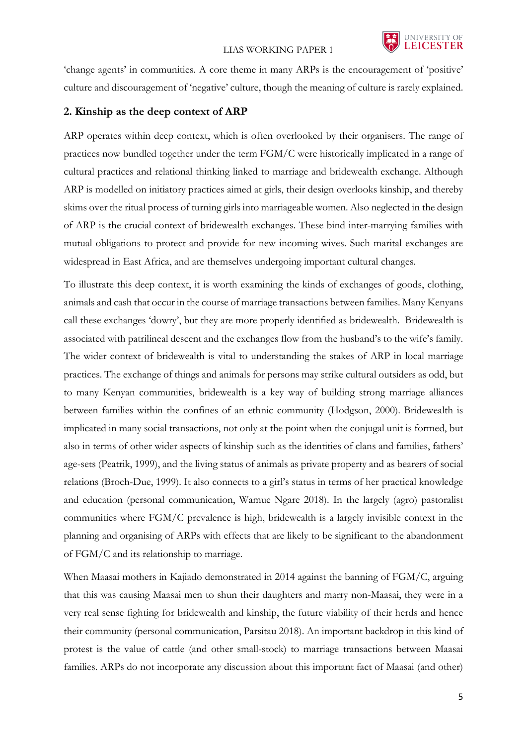'change agents' in communities. A core theme in many ARPs is the encouragement of 'positive' culture and discouragement of 'negative' culture, though the meaning of culture is rarely explained.

### **2. Kinship as the deep context of ARP**

ARP operates within deep context, which is often overlooked by their organisers. The range of practices now bundled together under the term FGM/C were historically implicated in a range of cultural practices and relational thinking linked to marriage and bridewealth exchange. Although ARP is modelled on initiatory practices aimed at girls, their design overlooks kinship, and thereby skims over the ritual process of turning girls into marriageable women. Also neglected in the design of ARP is the crucial context of bridewealth exchanges. These bind inter-marrying families with mutual obligations to protect and provide for new incoming wives. Such marital exchanges are widespread in East Africa, and are themselves undergoing important cultural changes.

To illustrate this deep context, it is worth examining the kinds of exchanges of goods, clothing, animals and cash that occur in the course of marriage transactions between families. Many Kenyans call these exchanges 'dowry', but they are more properly identified as bridewealth. Bridewealth is associated with patrilineal descent and the exchanges flow from the husband's to the wife's family. The wider context of bridewealth is vital to understanding the stakes of ARP in local marriage practices. The exchange of things and animals for persons may strike cultural outsiders as odd, but to many Kenyan communities, bridewealth is a key way of building strong marriage alliances between families within the confines of an ethnic community (Hodgson, 2000). Bridewealth is implicated in many social transactions, not only at the point when the conjugal unit is formed, but also in terms of other wider aspects of kinship such as the identities of clans and families, fathers' age-sets (Peatrik, 1999), and the living status of animals as private property and as bearers of social relations (Broch-Due, 1999). It also connects to a girl's status in terms of her practical knowledge and education (personal communication, Wamue Ngare 2018). In the largely (agro) pastoralist communities where FGM/C prevalence is high, bridewealth is a largely invisible context in the planning and organising of ARPs with effects that are likely to be significant to the abandonment of FGM/C and its relationship to marriage.

When Maasai mothers in Kajiado demonstrated in 2014 against the banning of FGM/C, arguing that this was causing Maasai men to shun their daughters and marry non-Maasai, they were in a very real sense fighting for bridewealth and kinship, the future viability of their herds and hence their community (personal communication, Parsitau 2018). An important backdrop in this kind of protest is the value of cattle (and other small-stock) to marriage transactions between Maasai families. ARPs do not incorporate any discussion about this important fact of Maasai (and other)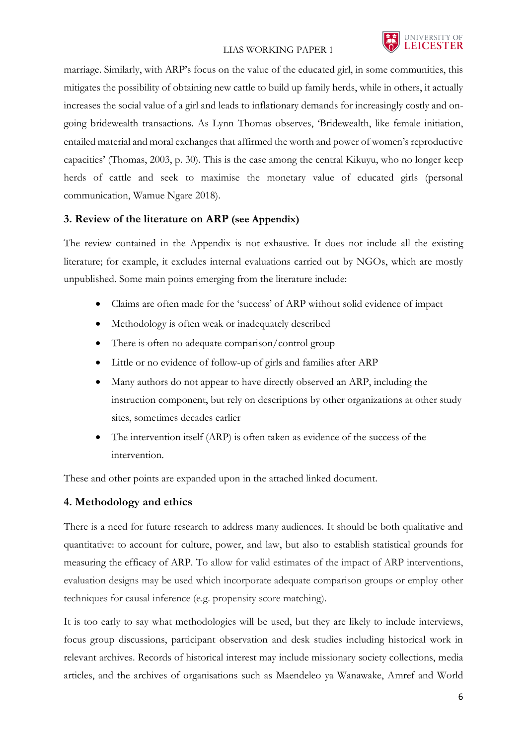

marriage. Similarly, with ARP's focus on the value of the educated girl, in some communities, this mitigates the possibility of obtaining new cattle to build up family herds, while in others, it actually increases the social value of a girl and leads to inflationary demands for increasingly costly and ongoing bridewealth transactions. As Lynn Thomas observes, 'Bridewealth, like female initiation, entailed material and moral exchanges that affirmed the worth and power of women's reproductive capacities' (Thomas, 2003, p. 30). This is the case among the central Kikuyu, who no longer keep herds of cattle and seek to maximise the monetary value of educated girls (personal communication, Wamue Ngare 2018).

### **3. Review of the literature on ARP (see Appendix)**

The review contained in the Appendix is not exhaustive. It does not include all the existing literature; for example, it excludes internal evaluations carried out by NGOs, which are mostly unpublished. Some main points emerging from the literature include:

- Claims are often made for the 'success' of ARP without solid evidence of impact
- Methodology is often weak or inadequately described
- There is often no adequate comparison/control group
- Little or no evidence of follow-up of girls and families after ARP
- Many authors do not appear to have directly observed an ARP, including the instruction component, but rely on descriptions by other organizations at other study sites, sometimes decades earlier
- The intervention itself (ARP) is often taken as evidence of the success of the intervention.

These and other points are expanded upon in the attached linked document.

### **4. Methodology and ethics**

There is a need for future research to address many audiences. It should be both qualitative and quantitative: to account for culture, power, and law, but also to establish statistical grounds for measuring the efficacy of ARP. To allow for valid estimates of the impact of ARP interventions, evaluation designs may be used which incorporate adequate comparison groups or employ other techniques for causal inference (e.g. propensity score matching).

It is too early to say what methodologies will be used, but they are likely to include interviews, focus group discussions, participant observation and desk studies including historical work in relevant archives. Records of historical interest may include missionary society collections, media articles, and the archives of organisations such as Maendeleo ya Wanawake, Amref and World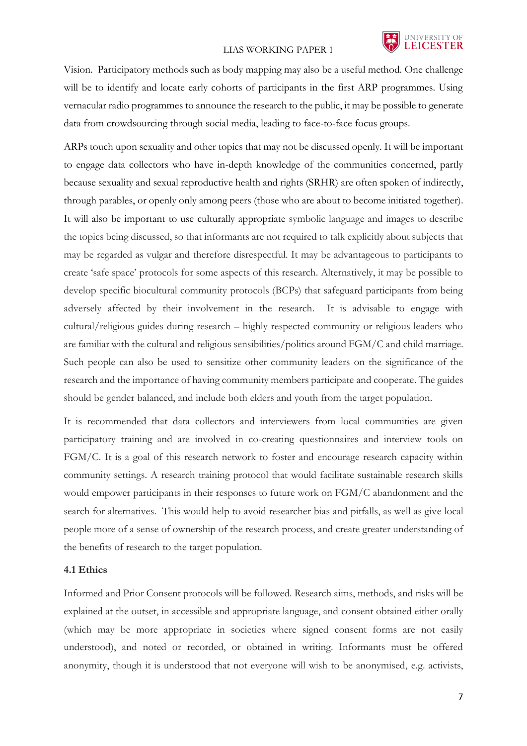

Vision. Participatory methods such as body mapping may also be a useful method. One challenge will be to identify and locate early cohorts of participants in the first ARP programmes. Using vernacular radio programmes to announce the research to the public, it may be possible to generate data from crowdsourcing through social media, leading to face-to-face focus groups.

ARPs touch upon sexuality and other topics that may not be discussed openly. It will be important to engage data collectors who have in-depth knowledge of the communities concerned, partly because sexuality and sexual reproductive health and rights (SRHR) are often spoken of indirectly, through parables, or openly only among peers (those who are about to become initiated together). It will also be important to use culturally appropriate symbolic language and images to describe the topics being discussed, so that informants are not required to talk explicitly about subjects that may be regarded as vulgar and therefore disrespectful. It may be advantageous to participants to create 'safe space' protocols for some aspects of this research. Alternatively, it may be possible to develop specific biocultural community protocols (BCPs) that safeguard participants from being adversely affected by their involvement in the research. It is advisable to engage with cultural/religious guides during research – highly respected community or religious leaders who are familiar with the cultural and religious sensibilities/politics around FGM/C and child marriage. Such people can also be used to sensitize other community leaders on the significance of the research and the importance of having community members participate and cooperate. The guides should be gender balanced, and include both elders and youth from the target population.

It is recommended that data collectors and interviewers from local communities are given participatory training and are involved in co-creating questionnaires and interview tools on FGM/C. It is a goal of this research network to foster and encourage research capacity within community settings. A research training protocol that would facilitate sustainable research skills would empower participants in their responses to future work on FGM/C abandonment and the search for alternatives. This would help to avoid researcher bias and pitfalls, as well as give local people more of a sense of ownership of the research process, and create greater understanding of the benefits of research to the target population.

### **4.1 Ethics**

Informed and Prior Consent protocols will be followed. Research aims, methods, and risks will be explained at the outset, in accessible and appropriate language, and consent obtained either orally (which may be more appropriate in societies where signed consent forms are not easily understood), and noted or recorded, or obtained in writing. Informants must be offered anonymity, though it is understood that not everyone will wish to be anonymised, e.g. activists,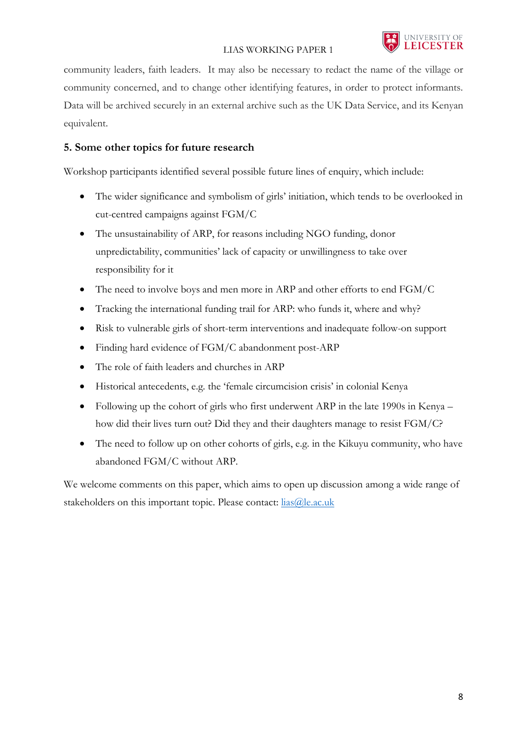community leaders, faith leaders. It may also be necessary to redact the name of the village or community concerned, and to change other identifying features, in order to protect informants. Data will be archived securely in an external archive such as the UK Data Service, and its Kenyan equivalent.

# **5. Some other topics for future research**

Workshop participants identified several possible future lines of enquiry, which include:

- The wider significance and symbolism of girls' initiation, which tends to be overlooked in cut-centred campaigns against FGM/C
- The unsustainability of ARP, for reasons including NGO funding, donor unpredictability, communities' lack of capacity or unwillingness to take over responsibility for it
- The need to involve boys and men more in ARP and other efforts to end FGM/C
- Tracking the international funding trail for ARP: who funds it, where and why?
- Risk to vulnerable girls of short-term interventions and inadequate follow-on support
- Finding hard evidence of FGM/C abandonment post-ARP
- The role of faith leaders and churches in ARP
- Historical antecedents, e.g. the 'female circumcision crisis' in colonial Kenya
- Following up the cohort of girls who first underwent ARP in the late 1990s in Kenya how did their lives turn out? Did they and their daughters manage to resist FGM/C?
- The need to follow up on other cohorts of girls, e.g. in the Kikuyu community, who have abandoned FGM/C without ARP.

We welcome comments on this paper, which aims to open up discussion among a wide range of stakeholders on this important topic. Please contact:  $\frac{lias(\omega)$ le.ac.uk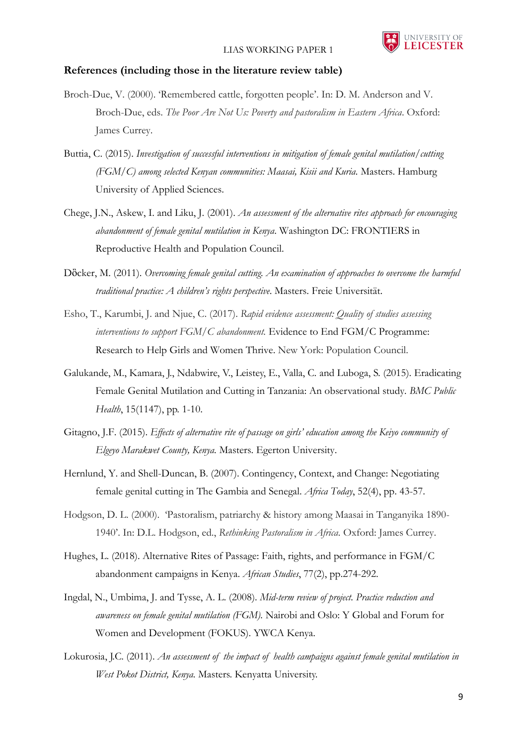

#### **References (including those in the literature review table)**

- Broch-Due, V. (2000). 'Remembered cattle, forgotten people'. In: D. M. Anderson and V. Broch-Due, eds. *The Poor Are Not Us: Poverty and pastoralism in Eastern Africa*. Oxford: James Currey.
- Buttia, C. (2015). *Investigation of successful interventions in mitigation of female genital mutilation/cutting (FGM/C) among selected Kenyan communities: Maasai, Kisii and Kuria. Masters. Hamburg* University of Applied Sciences.
- Chege, J.N., Askew, I. and Liku, J. (2001). *An assessment of the alternative rites approach for encouraging abandonment of female genital mutilation in Kenya*. Washington DC: FRONTIERS in Reproductive Health and Population Council.
- Dὂcker, M. (2011). *Overcoming female genital cutting. An examination of approaches to overcome the harmful traditional practice: A children's rights perspective*. Masters. Freie Universität.
- Esho, T., Karumbi, J. and Njue, C. (2017). *Rapid evidence assessment: Quality of studies assessing interventions to support FGM/C abandonment.* Evidence to End FGM/C Programme: Research to Help Girls and Women Thrive. New York: Population Council.
- Galukande, M., Kamara, J., Ndabwire, V., Leistey, E., Valla, C. and Luboga, S. (2015). Eradicating Female Genital Mutilation and Cutting in Tanzania: An observational study*. BMC Public Health*, 15(1147), pp. 1-10.
- Gitagno, J.F. (2015). *Effects of alternative rite of passage on girls' education among the Keiyo community of Elgeyo Marakwet County, Kenya.* Masters. Egerton University.
- Hernlund, Y. and Shell-Duncan, B. (2007). Contingency, Context, and Change: Negotiating female genital cutting in The Gambia and Senegal. *Africa Today*, 52(4), pp. 43-57.
- Hodgson, D. L. (2000). 'Pastoralism, patriarchy & history among Maasai in Tanganyika 1890- 1940'. In: D.L. Hodgson, ed., *Rethinking Pastoralism in Africa.* Oxford: James Currey.
- Hughes, L. (2018). Alternative Rites of Passage: Faith, rights, and performance in FGM/C abandonment campaigns in Kenya. *African Studies*, 77(2), pp.274-292.
- Ingdal, N., Umbima, J. and Tysse, A. L. (2008). *Mid-term review of project. Practice reduction and awareness on female genital mutilation (FGM).* Nairobi and Oslo: Y Global and Forum for Women and Development (FOKUS). YWCA Kenya.
- Lokurosia, J.C. (2011). *An assessment of the impact of health campaigns against female genital mutilation in West Pokot District, Kenya.* Masters. Kenyatta University.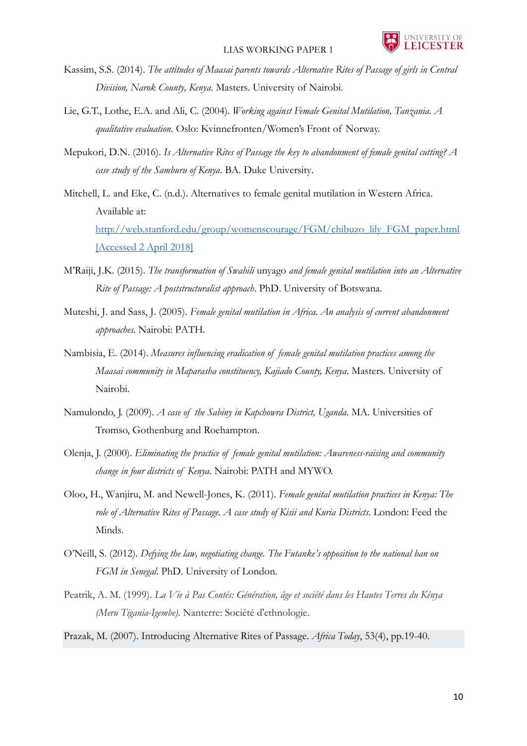

- Kassim, S.S. (2014). *The attitudes of Maasai parents towards Alternative Rites of Passage of girls in Central Division, Narok County, Kenya*. Masters. University of Nairobi.
- Lie, G.T., Lothe, E.A. and Ali, C. (2004). *Working against Female Genital Mutilation, Tanzania. A qualitative evaluation.* Oslo: Kvinnefronten/Women's Front of Norway.
- Mepukori, D.N. (2016). *Is Alternative Rites of Passage the key to abandonment of female genital cutting? A case study of the Samburu of Kenya*. BA. Duke University.
- Mitchell, L. and Eke, C. (n.d.). Alternatives to female genital mutilation in Western Africa. Available at: [http://web.stanford.edu/group/womenscourage/FGM/chibuzo\\_lily\\_FGM\\_paper.html](http://web.stanford.edu/group/womenscourage/FGM/chibuzo_lily_FGM_paper.html) [Accessed 2 April 2018]
- M'Raiji, J.K. (2015). *The transformation of Swahili* unyago *and female genital mutilation into an Alternative Rite of Passage: A poststructuralist approach*. PhD. University of Botswana.
- Muteshi, J. and Sass, J. (2005). *Female genital mutilation in Africa. An analysis of current abandonment approaches.* Nairobi: PATH.
- Nambisia, E. (2014). *Measures influencing eradication of female genital mutilation practices among the Maasai community in Maparasha constituency, Kajiado County, Kenya*. Masters. University of Nairobi.
- Namulondo, J. (2009). *A case of the Sabiny in Kapchowra District, Uganda*. MA. Universities of Trømso, Gothenburg and Roehampton.
- Olenja, J. (2000). *Eliminating the practice of female genital mutilation: Awareness-raising and community change in four districts of Kenya*. Nairobi: PATH and MYWO.
- Oloo, H., Wanjiru, M. and Newell-Jones, K. (2011). *Female genital mutilation practices in Kenya: The role of Alternative Rites of Passage. A case study of Kisii and Kuria Districts.* London: Feed the Minds.
- O'Neill, S. (2012). *Defying the law, negotiating change. The Futanke's opposition to the national ban on FGM in Senegal*. PhD. University of London.
- Peatrik, A. M. (1999). *La Vie à Pas Contés: Génération, âge et société dans les Hautes Terres du Kénya (Meru Tigania-Igembe)*. Nanterre: Société d'ethnologie.
- Prazak, M. (2007). Introducing Alternative Rites of Passage. *Africa Today*, 53(4), pp.19-40.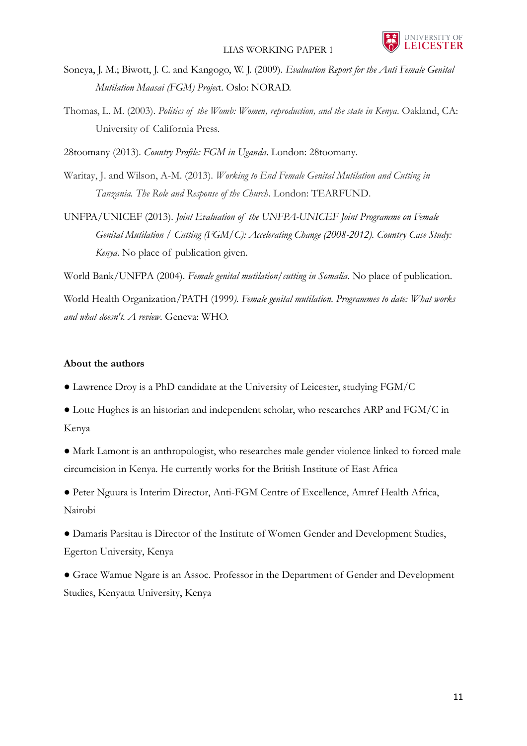

Soneya, J. M.; Biwott, J. C. and Kangogo, W. J. (2009). *Evaluation Report for the Anti Female Genital Mutilation Maasai (FGM) Projec*t. Oslo: NORAD.

Thomas, L. M. (2003). *Politics of the Womb: Women, reproduction, and the state in Kenya*. Oakland, CA: University of California Press.

28toomany (2013). *Country Profile: FGM in Uganda*. London: 28toomany.

Waritay, J. and Wilson, A-M. (2013). *Working to End Female Genital Mutilation and Cutting in Tanzania. The Role and Response of the Church*. London: TEARFUND.

UNFPA/UNICEF (2013). *Joint Evaluation of the UNFPA-UNICEF Joint Programme on Female*  Genital Mutilation / Cutting (FGM/C): Accelerating Change (2008-2012). Country Case Study: *Kenya*. No place of publication given.

World Bank/UNFPA (2004). *Female genital mutilation/cutting in Somalia*. No place of publication.

World Health Organization/PATH (1999*). Female genital mutilation. Programmes to date: What works and what doesn't. A review*. Geneva: WHO.

### **About the authors**

- Lawrence Droy is a PhD candidate at the University of Leicester, studying FGM/C
- Lotte Hughes is an historian and independent scholar, who researches ARP and FGM/C in Kenya

● Mark Lamont is an anthropologist, who researches male gender violence linked to forced male circumcision in Kenya. He currently works for the British Institute of East Africa

● Peter Nguura is Interim Director, Anti-FGM Centre of Excellence, Amref Health Africa, Nairobi

● Damaris Parsitau is Director of the Institute of Women Gender and Development Studies, Egerton University, Kenya

● Grace Wamue Ngare is an Assoc. Professor in the Department of Gender and Development Studies, Kenyatta University, Kenya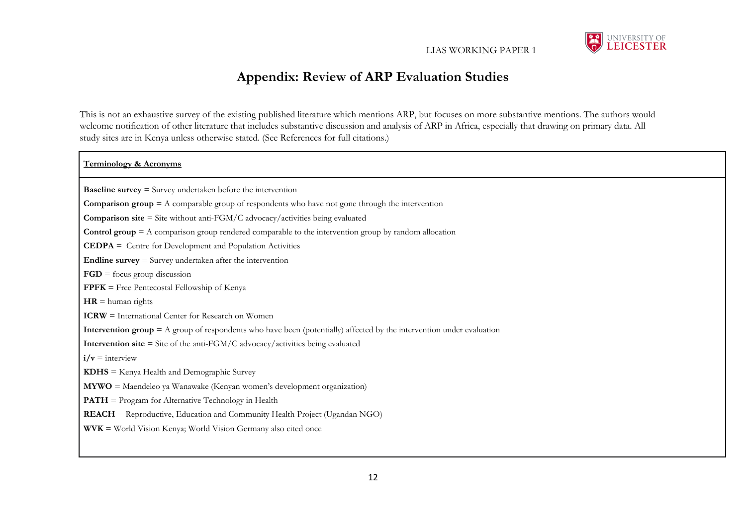

# **Appendix: Review of ARP Evaluation Studies**

This is not an exhaustive survey of the existing published literature which mentions ARP, but focuses on more substantive mentions. The authors would welcome notification of other literature that includes substantive discussion and analysis of ARP in Africa, especially that drawing on primary data. All study sites are in Kenya unless otherwise stated. (See References for full citations.)

#### **Terminology & Acronyms**

**Baseline survey** = Survey undertaken before the intervention

**Comparison group** = A comparable group of respondents who have not gone through the intervention

**Comparison site** = Site without anti-FGM/C advocacy/activities being evaluated

**Control group** = A comparison group rendered comparable to the intervention group by random allocation

**CEDPA** = Centre for Development and Population Activities

**Endline survey** = Survey undertaken after the intervention

**FGD** = focus group discussion

**FPFK** = Free Pentecostal Fellowship of Kenya

 $HR =$  human rights

**ICRW** = International Center for Research on Women

**Intervention group** = A group of respondents who have been (potentially) affected by the intervention under evaluation

**Intervention site** = Site of the anti-FGM/C advocacy/activities being evaluated

 $\mathbf{i}/\mathbf{v} = \text{interview}$ 

**KDHS** = Kenya Health and Demographic Survey

**MYWO** = Maendeleo ya Wanawake (Kenyan women's development organization)

**PATH** = Program for Alternative Technology in Health

**REACH** = Reproductive, Education and Community Health Project (Ugandan NGO)

**WVK** = World Vision Kenya; World Vision Germany also cited once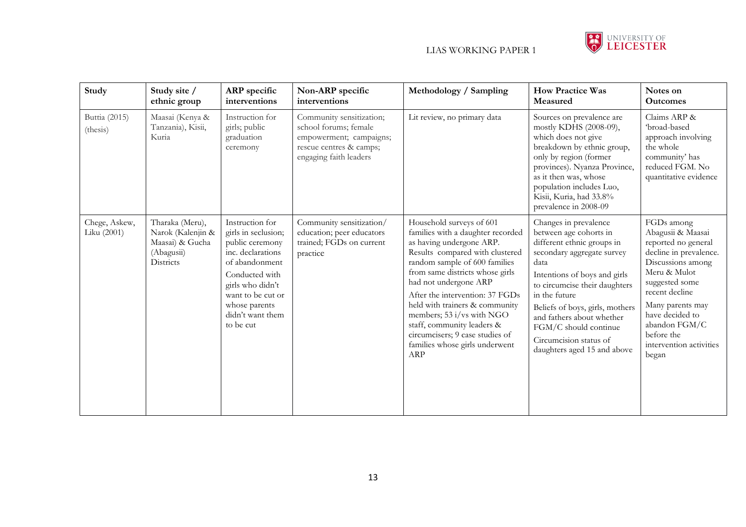

| Study                        | Study site /<br>ethnic group                                                       | ARP specific<br>interventions                                                                                                                                                                                 | Non-ARP specific<br>interventions                                                                                                 | Methodology / Sampling                                                                                                                                                                                                                                                                                                                                                                                                                | <b>How Practice Was</b><br>Measured                                                                                                                                                                                                                                                                                                                     | Notes on<br><b>Outcomes</b>                                                                                                                                                                                                                                         |
|------------------------------|------------------------------------------------------------------------------------|---------------------------------------------------------------------------------------------------------------------------------------------------------------------------------------------------------------|-----------------------------------------------------------------------------------------------------------------------------------|---------------------------------------------------------------------------------------------------------------------------------------------------------------------------------------------------------------------------------------------------------------------------------------------------------------------------------------------------------------------------------------------------------------------------------------|---------------------------------------------------------------------------------------------------------------------------------------------------------------------------------------------------------------------------------------------------------------------------------------------------------------------------------------------------------|---------------------------------------------------------------------------------------------------------------------------------------------------------------------------------------------------------------------------------------------------------------------|
| Buttia (2015)<br>(thesis)    | Maasai (Kenya &<br>Tanzania), Kisii,<br>Kuria                                      | Instruction for<br>girls; public<br>graduation<br>ceremony                                                                                                                                                    | Community sensitization;<br>school forums; female<br>empowerment; campaigns;<br>rescue centres & camps;<br>engaging faith leaders | Lit review, no primary data                                                                                                                                                                                                                                                                                                                                                                                                           | Sources on prevalence are<br>mostly KDHS (2008-09),<br>which does not give<br>breakdown by ethnic group,<br>only by region (former<br>provinces). Nyanza Province,<br>as it then was, whose<br>population includes Luo,<br>Kisii, Kuria, had 33.8%<br>prevalence in 2008-09                                                                             | Claims ARP &<br>'broad-based<br>approach involving<br>the whole<br>community' has<br>reduced FGM. No<br>quantitative evidence                                                                                                                                       |
| Chege, Askew,<br>Liku (2001) | Tharaka (Meru),<br>Narok (Kalenjin &<br>Maasai) & Gucha<br>(Abagusii)<br>Districts | Instruction for<br>girls in seclusion;<br>public ceremony<br>inc. declarations<br>of abandonment<br>Conducted with<br>girls who didn't<br>want to be cut or<br>whose parents<br>didn't want them<br>to be cut | Community sensitization/<br>education; peer educators<br>trained; FGDs on current<br>practice                                     | Household surveys of 601<br>families with a daughter recorded<br>as having undergone ARP.<br>Results compared with clustered<br>random sample of 600 families<br>from same districts whose girls<br>had not undergone ARP<br>After the intervention: 37 FGDs<br>held with trainers & community<br>members; 53 i/vs with NGO<br>staff, community leaders &<br>circumcisers; 9 case studies of<br>families whose girls underwent<br>ARP | Changes in prevalence<br>between age cohorts in<br>different ethnic groups in<br>secondary aggregate survey<br>data<br>Intentions of boys and girls<br>to circumcise their daughters<br>in the future<br>Beliefs of boys, girls, mothers<br>and fathers about whether<br>FGM/C should continue<br>Circumcision status of<br>daughters aged 15 and above | FGDs among<br>Abagusii & Maasai<br>reported no general<br>decline in prevalence.<br>Discussions among<br>Meru & Mulot<br>suggested some<br>recent decline<br>Many parents may<br>have decided to<br>abandon FGM/C<br>before the<br>intervention activities<br>began |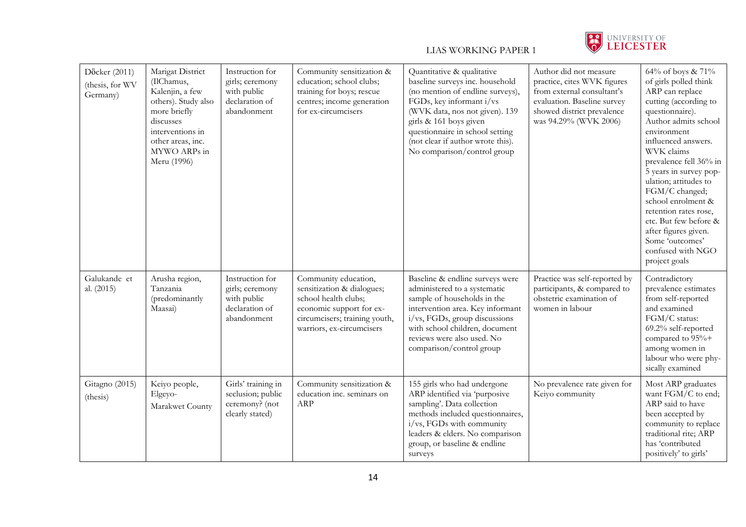

| Döcker (2011)<br>(thesis, for WV<br>Germany) | Marigat District<br>(IlChamus,<br>Kalenjin, a few<br>others). Study also<br>more briefly<br>discusses<br>interventions in<br>other areas, inc.<br>MYWO ARPs in<br>Meru (1996) | Instruction for<br>girls; ceremony<br>with public<br>declaration of<br>abandonment | Community sensitization &<br>education; school clubs;<br>training for boys; rescue<br>centres; income generation<br>for ex-circumcisers                              | Quantitative & qualitative<br>baseline surveys inc. household<br>(no mention of endline surveys),<br>FGDs, key informant i/vs<br>(WVK data, nos not given). 139<br>girls & 161 boys given<br>questionnaire in school setting<br>(not clear if author wrote this).<br>No comparison/control group | Author did not measure<br>practice, cites WVK figures<br>from external consultant's<br>evaluation. Baseline survey<br>showed district prevalence<br>was 94.29% (WVK 2006) | 64% of boys & 71%<br>of girls polled think<br>ARP can replace<br>cutting (according to<br>questionnaire).<br>Author admits school<br>environment<br>influenced answers.<br>WVK claims<br>prevalence fell 36% in<br>5 years in survey pop-<br>ulation; attitudes to<br>FGM/C changed;<br>school enrolment &<br>retention rates rose,<br>etc. But few before &<br>after figures given.<br>Some 'outcomes'<br>confused with NGO<br>project goals |
|----------------------------------------------|-------------------------------------------------------------------------------------------------------------------------------------------------------------------------------|------------------------------------------------------------------------------------|----------------------------------------------------------------------------------------------------------------------------------------------------------------------|--------------------------------------------------------------------------------------------------------------------------------------------------------------------------------------------------------------------------------------------------------------------------------------------------|---------------------------------------------------------------------------------------------------------------------------------------------------------------------------|-----------------------------------------------------------------------------------------------------------------------------------------------------------------------------------------------------------------------------------------------------------------------------------------------------------------------------------------------------------------------------------------------------------------------------------------------|
| Galukande et<br>al. (2015)                   | Arusha region,<br>Tanzania<br>(predominantly<br>Maasai)                                                                                                                       | Instruction for<br>girls; ceremony<br>with public<br>declaration of<br>abandonment | Community education,<br>sensitization & dialogues;<br>school health clubs;<br>economic support for ex-<br>circumcisers; training youth,<br>warriors, ex-circumcisers | Baseline & endline surveys were<br>administered to a systematic<br>sample of households in the<br>intervention area. Key informant<br>i/vs, FGDs, group discussions<br>with school children, document<br>reviews were also used. No<br>comparison/control group                                  | Practice was self-reported by<br>participants, & compared to<br>obstetric examination of<br>women in labour                                                               | Contradictory<br>prevalence estimates<br>from self-reported<br>and examined<br>FGM/C status:<br>69.2% self-reported<br>compared to 95%+<br>among women in<br>labour who were phy-<br>sically examined                                                                                                                                                                                                                                         |
| Gitagno (2015)<br>(thesis)                   | Keiyo people,<br>Elgeyo-<br>Marakwet County                                                                                                                                   | Girls' training in<br>seclusion; public<br>ceremony? (not<br>clearly stated)       | Community sensitization &<br>education inc. seminars on<br>ARP                                                                                                       | 155 girls who had undergone<br>ARP identified via 'purposive<br>sampling'. Data collection<br>methods included questionnaires,<br>i/vs, FGDs with community<br>leaders & elders. No comparison<br>group, or baseline & endline<br>surveys                                                        | No prevalence rate given for<br>Keiyo community                                                                                                                           | Most ARP graduates<br>want FGM/C to end;<br>ARP said to have<br>been accepted by<br>community to replace<br>traditional rite; ARP<br>has 'contributed<br>positively' to girls'                                                                                                                                                                                                                                                                |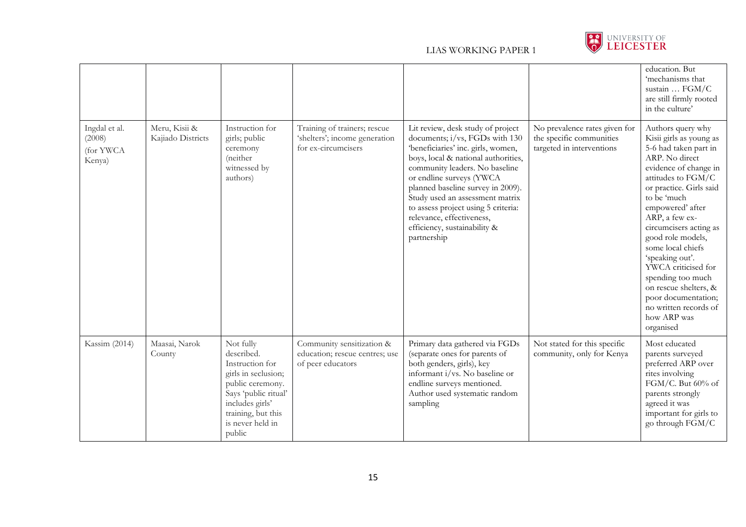

|                                                |                                    |                                                                                                                                                                                      |                                                                                      |                                                                                                                                                                                                                                                                                                                                                                                                           |                                                                                        | education. But<br>'mechanisms that<br>sustain  FGM/C<br>are still firmly rooted<br>in the culture'                                                                                                                                                                                                                                                                                                                                                             |
|------------------------------------------------|------------------------------------|--------------------------------------------------------------------------------------------------------------------------------------------------------------------------------------|--------------------------------------------------------------------------------------|-----------------------------------------------------------------------------------------------------------------------------------------------------------------------------------------------------------------------------------------------------------------------------------------------------------------------------------------------------------------------------------------------------------|----------------------------------------------------------------------------------------|----------------------------------------------------------------------------------------------------------------------------------------------------------------------------------------------------------------------------------------------------------------------------------------------------------------------------------------------------------------------------------------------------------------------------------------------------------------|
| Ingdal et al.<br>(2008)<br>(for YWCA<br>Kenya) | Meru, Kisii &<br>Kajiado Districts | Instruction for<br>girls; public<br>ceremony<br>(neither<br>witnessed by<br>authors)                                                                                                 | Training of trainers; rescue<br>'shelters'; income generation<br>for ex-circumcisers | Lit review, desk study of project<br>documents; i/vs, FGDs with 130<br>'beneficiaries' inc. girls, women,<br>boys, local & national authorities,<br>community leaders. No baseline<br>or endline surveys (YWCA<br>planned baseline survey in 2009).<br>Study used an assessment matrix<br>to assess project using 5 criteria:<br>relevance, effectiveness,<br>efficiency, sustainability &<br>partnership | No prevalence rates given for<br>the specific communities<br>targeted in interventions | Authors query why<br>Kisii girls as young as<br>5-6 had taken part in<br>ARP. No direct<br>evidence of change in<br>attitudes to FGM/C<br>or practice. Girls said<br>to be 'much<br>empowered' after<br>ARP, a few ex-<br>circumcisers acting as<br>good role models,<br>some local chiefs<br>'speaking out'.<br>YWCA criticised for<br>spending too much<br>on rescue shelters, &<br>poor documentation;<br>no written records of<br>how ARP was<br>organised |
| Kassim (2014)                                  | Maasai, Narok<br>County            | Not fully<br>described.<br>Instruction for<br>girls in seclusion;<br>public ceremony.<br>Says 'public ritual'<br>includes girls'<br>training, but this<br>is never held in<br>public | Community sensitization &<br>education; rescue centres; use<br>of peer educators     | Primary data gathered via FGDs<br>(separate ones for parents of<br>both genders, girls), key<br>informant i/vs. No baseline or<br>endline surveys mentioned.<br>Author used systematic random<br>sampling                                                                                                                                                                                                 | Not stated for this specific<br>community, only for Kenya                              | Most educated<br>parents surveyed<br>preferred ARP over<br>rites involving<br>FGM/C. But 60% of<br>parents strongly<br>agreed it was<br>important for girls to<br>go through FGM/C                                                                                                                                                                                                                                                                             |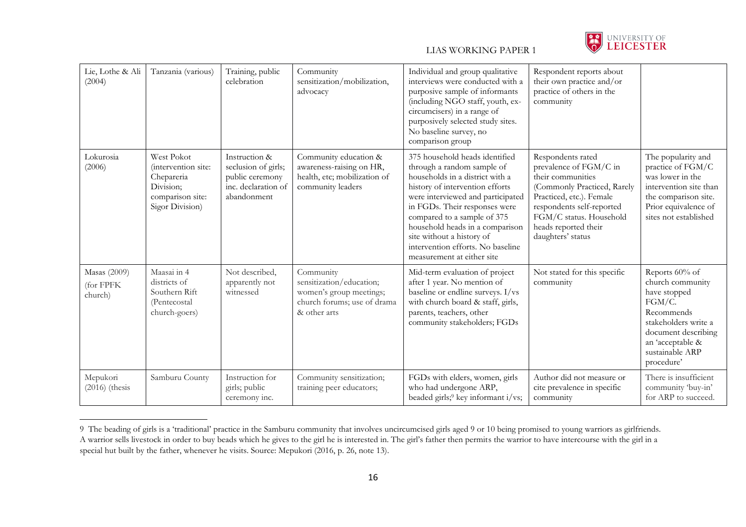

| Lie, Lothe & Ali<br>(2004)           | Tanzania (various)                                                                                  | Training, public<br>celebration                                                               | Community<br>sensitization/mobilization,<br>advocacy                                                            | Individual and group qualitative<br>interviews were conducted with a<br>purposive sample of informants<br>(including NGO staff, youth, ex-<br>circumcisers) in a range of<br>purposively selected study sites.<br>No baseline survey, no<br>comparison group                                                                                                               | Respondent reports about<br>their own practice and/or<br>practice of others in the<br>community                                                                                                                                  |                                                                                                                                                                                |
|--------------------------------------|-----------------------------------------------------------------------------------------------------|-----------------------------------------------------------------------------------------------|-----------------------------------------------------------------------------------------------------------------|----------------------------------------------------------------------------------------------------------------------------------------------------------------------------------------------------------------------------------------------------------------------------------------------------------------------------------------------------------------------------|----------------------------------------------------------------------------------------------------------------------------------------------------------------------------------------------------------------------------------|--------------------------------------------------------------------------------------------------------------------------------------------------------------------------------|
| Lokurosia<br>(2006)                  | West Pokot<br>(intervention site:<br>Chepareria<br>Division;<br>comparison site:<br>Sigor Division) | Instruction &<br>seclusion of girls;<br>public ceremony<br>inc. declaration of<br>abandonment | Community education &<br>awareness-raising on HR,<br>health, etc; mobilization of<br>community leaders          | 375 household heads identified<br>through a random sample of<br>households in a district with a<br>history of intervention efforts<br>were interviewed and participated<br>in FGDs. Their responses were<br>compared to a sample of 375<br>household heads in a comparison<br>site without a history of<br>intervention efforts. No baseline<br>measurement at either site | Respondents rated<br>prevalence of FGM/C in<br>their communities<br>(Commonly Practiced, Rarely<br>Practiced, etc.). Female<br>respondents self-reported<br>FGM/C status. Household<br>heads reported their<br>daughters' status | The popularity and<br>practice of FGM/C<br>was lower in the<br>intervention site than<br>the comparison site.<br>Prior equivalence of<br>sites not established                 |
| Masas (2009)<br>(for FPFK<br>church) | Maasai in 4<br>districts of<br>Southern Rift<br>(Pentecostal<br>church-goers)                       | Not described,<br>apparently not<br>witnessed                                                 | Community<br>sensitization/education;<br>women's group meetings;<br>church forums; use of drama<br>& other arts | Mid-term evaluation of project<br>after 1 year. No mention of<br>baseline or endline surveys. I/vs<br>with church board & staff, girls,<br>parents, teachers, other<br>community stakeholders; FGDs                                                                                                                                                                        | Not stated for this specific<br>community                                                                                                                                                                                        | Reports 60% of<br>church community<br>have stopped<br>FGM/C.<br>Recommends<br>stakeholders write a<br>document describing<br>an 'acceptable &<br>sustainable ARP<br>procedure' |
| Mepukori<br>$(2016)$ (thesis         | Samburu County                                                                                      | Instruction for<br>girls; public<br>ceremony inc.                                             | Community sensitization;<br>training peer educators;                                                            | FGDs with elders, women, girls<br>who had undergone ARP,<br>beaded girls; <sup>9</sup> key informant i/vs;                                                                                                                                                                                                                                                                 | Author did not measure or<br>cite prevalence in specific<br>community                                                                                                                                                            | There is insufficient<br>community 'buy-in'<br>for ARP to succeed.                                                                                                             |

<sup>9</sup> The beading of girls is a 'traditional' practice in the Samburu community that involves uncircumcised girls aged 9 or 10 being promised to young warriors as girlfriends. A warrior sells livestock in order to buy beads which he gives to the girl he is interested in. The girl's father then permits the warrior to have intercourse with the girl in a special hut built by the father, whenever he visits. Source: Mepukori (2016, p. 26, note 13).

 $\overline{a}$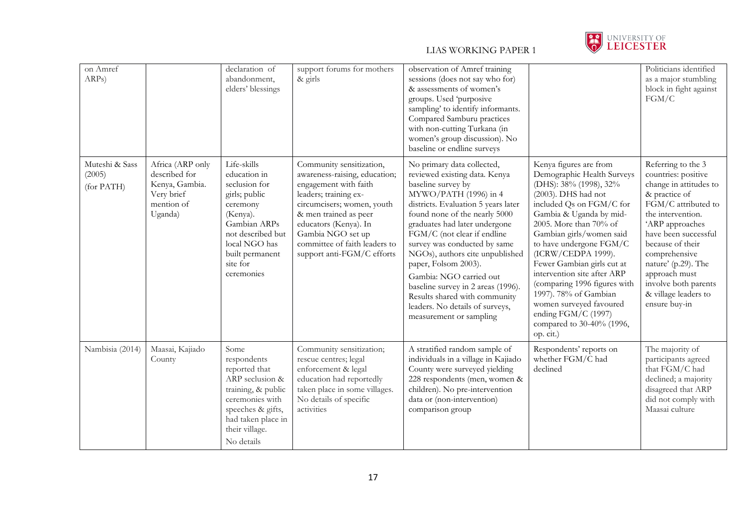

| on Amref<br>ARPs)                      |                                                                                            | declaration of<br>abandonment,<br>elders' blessings                                                                                                                                      | support forums for mothers<br>$\&$ girls                                                                                                                                                                                                                                        | observation of Amref training<br>sessions (does not say who for)<br>& assessments of women's<br>groups. Used 'purposive<br>sampling' to identify informants.<br>Compared Samburu practices<br>with non-cutting Turkana (in<br>women's group discussion). No<br>baseline or endline surveys                                                                                                                                                                                                                    |                                                                                                                                                                                                                                                                                                                                                                                                                                                                                       | Politicians identified<br>as a major stumbling<br>block in fight against<br>FGM/C                                                                                                                                                                                                                                         |
|----------------------------------------|--------------------------------------------------------------------------------------------|------------------------------------------------------------------------------------------------------------------------------------------------------------------------------------------|---------------------------------------------------------------------------------------------------------------------------------------------------------------------------------------------------------------------------------------------------------------------------------|---------------------------------------------------------------------------------------------------------------------------------------------------------------------------------------------------------------------------------------------------------------------------------------------------------------------------------------------------------------------------------------------------------------------------------------------------------------------------------------------------------------|---------------------------------------------------------------------------------------------------------------------------------------------------------------------------------------------------------------------------------------------------------------------------------------------------------------------------------------------------------------------------------------------------------------------------------------------------------------------------------------|---------------------------------------------------------------------------------------------------------------------------------------------------------------------------------------------------------------------------------------------------------------------------------------------------------------------------|
| Muteshi & Sass<br>(2005)<br>(for PATH) | Africa (ARP only<br>described for<br>Kenya, Gambia.<br>Very brief<br>mention of<br>Uganda) | Life-skills<br>education in<br>seclusion for<br>girls; public<br>ceremony<br>(Kenya).<br>Gambian ARPs<br>not described but<br>local NGO has<br>built permanent<br>site for<br>ceremonies | Community sensitization,<br>awareness-raising, education;<br>engagement with faith<br>leaders; training ex-<br>circumcisers; women, youth<br>& men trained as peer<br>educators (Kenya). In<br>Gambia NGO set up<br>committee of faith leaders to<br>support anti-FGM/C efforts | No primary data collected,<br>reviewed existing data. Kenya<br>baseline survey by<br>MYWO/PATH (1996) in 4<br>districts. Evaluation 5 years later<br>found none of the nearly 5000<br>graduates had later undergone<br>FGM/C (not clear if endline<br>survey was conducted by same<br>NGOs), authors cite unpublished<br>paper, Folsom 2003).<br>Gambia: NGO carried out<br>baseline survey in 2 areas (1996).<br>Results shared with community<br>leaders. No details of surveys,<br>measurement or sampling | Kenya figures are from<br>Demographic Health Surveys<br>(DHS): 38% (1998), 32%<br>(2003). DHS had not<br>included Qs on FGM/C for<br>Gambia & Uganda by mid-<br>2005. More than 70% of<br>Gambian girls/women said<br>to have undergone FGM/C<br>(ICRW/CEDPA 1999).<br>Fewer Gambian girls cut at<br>intervention site after ARP<br>(comparing 1996 figures with<br>1997). 78% of Gambian<br>women surveyed favoured<br>ending FGM/C (1997)<br>compared to 30-40% (1996,<br>op. cit.) | Referring to the 3<br>countries: positive<br>change in attitudes to<br>& practice of<br>FGM/C attributed to<br>the intervention.<br>'ARP approaches<br>have been successful<br>because of their<br>comprehensive<br>nature' (p.29). The<br>approach must<br>involve both parents<br>& village leaders to<br>ensure buy-in |
| Nambisia (2014)                        | Maasai, Kajiado<br>County                                                                  | Some<br>respondents<br>reported that<br>ARP seclusion &<br>training, & public<br>ceremonies with<br>speeches & gifts,<br>had taken place in<br>their village.<br>No details              | Community sensitization;<br>rescue centres; legal<br>enforcement & legal<br>education had reportedly<br>taken place in some villages.<br>No details of specific<br>activities                                                                                                   | A stratified random sample of<br>individuals in a village in Kajiado<br>County were surveyed yielding<br>228 respondents (men, women &<br>children). No pre-intervention<br>data or (non-intervention)<br>comparison group                                                                                                                                                                                                                                                                                    | Respondents' reports on<br>whether FGM/C had<br>declined                                                                                                                                                                                                                                                                                                                                                                                                                              | The majority of<br>participants agreed<br>that FGM/C had<br>declined; a majority<br>disagreed that ARP<br>did not comply with<br>Maasai culture                                                                                                                                                                           |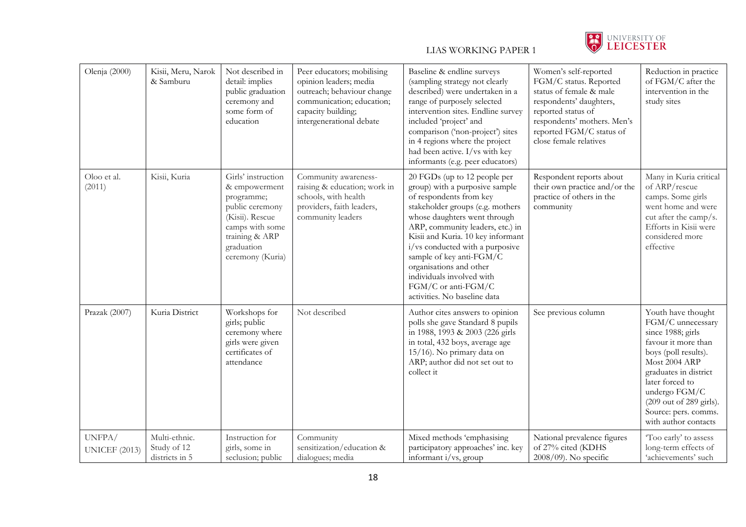

| Olenja (2000)                  | Kisii, Meru, Narok<br>& Samburu                | Not described in<br>detail: implies<br>public graduation<br>ceremony and<br>some form of<br>education                                                          | Peer educators; mobilising<br>opinion leaders; media<br>outreach; behaviour change<br>communication; education;<br>capacity building;<br>intergenerational debate | Baseline & endline surveys<br>(sampling strategy not clearly<br>described) were undertaken in a<br>range of purposely selected<br>intervention sites. Endline survey<br>included 'project' and<br>comparison ('non-project') sites<br>in 4 regions where the project<br>had been active. I/vs with key<br>informants (e.g. peer educators)                                                                           | Women's self-reported<br>FGM/C status. Reported<br>status of female & male<br>respondents' daughters,<br>reported status of<br>respondents' mothers. Men's<br>reported FGM/C status of<br>close female relatives | Reduction in practice<br>of FGM/C after the<br>intervention in the<br>study sites                                                                                                                                                                                    |
|--------------------------------|------------------------------------------------|----------------------------------------------------------------------------------------------------------------------------------------------------------------|-------------------------------------------------------------------------------------------------------------------------------------------------------------------|----------------------------------------------------------------------------------------------------------------------------------------------------------------------------------------------------------------------------------------------------------------------------------------------------------------------------------------------------------------------------------------------------------------------|------------------------------------------------------------------------------------------------------------------------------------------------------------------------------------------------------------------|----------------------------------------------------------------------------------------------------------------------------------------------------------------------------------------------------------------------------------------------------------------------|
| Oloo et al.<br>(2011)          | Kisii, Kuria                                   | Girls' instruction<br>& empowerment<br>programme;<br>public ceremony<br>(Kisii). Rescue<br>camps with some<br>training & ARP<br>graduation<br>ceremony (Kuria) | Community awareness-<br>raising & education; work in<br>schools, with health<br>providers, faith leaders,<br>community leaders                                    | 20 FGDs (up to 12 people per<br>group) with a purposive sample<br>of respondents from key<br>stakeholder groups (e.g. mothers<br>whose daughters went through<br>ARP, community leaders, etc.) in<br>Kisii and Kuria. 10 key informant<br>i/vs conducted with a purposive<br>sample of key anti-FGM/C<br>organisations and other<br>individuals involved with<br>FGM/C or anti-FGM/C<br>activities. No baseline data | Respondent reports about<br>their own practice and/or the<br>practice of others in the<br>community                                                                                                              | Many in Kuria critical<br>of ARP/rescue<br>camps. Some girls<br>went home and were<br>cut after the camp/s.<br>Efforts in Kisii were<br>considered more<br>effective                                                                                                 |
| Prazak (2007)                  | Kuria District                                 | Workshops for<br>girls; public<br>ceremony where<br>girls were given<br>certificates of<br>attendance                                                          | Not described                                                                                                                                                     | Author cites answers to opinion<br>polls she gave Standard 8 pupils<br>in 1988, 1993 & 2003 (226 girls<br>in total, 432 boys, average age<br>15/16). No primary data on<br>ARP; author did not set out to<br>collect it                                                                                                                                                                                              | See previous column                                                                                                                                                                                              | Youth have thought<br>FGM/C unnecessary<br>since 1988; girls<br>favour it more than<br>boys (poll results).<br>Most 2004 ARP<br>graduates in district<br>later forced to<br>undergo FGM/C<br>(209 out of 289 girls).<br>Source: pers. comms.<br>with author contacts |
| UNFPA/<br><b>UNICEF</b> (2013) | Multi-ethnic.<br>Study of 12<br>districts in 5 | Instruction for<br>girls, some in<br>seclusion; public                                                                                                         | Community<br>sensitization/education &<br>dialogues; media                                                                                                        | Mixed methods 'emphasising<br>participatory approaches' inc. key<br>informant i/vs, group                                                                                                                                                                                                                                                                                                                            | National prevalence figures<br>of 27% cited (KDHS<br>$2008/09$ ). No specific                                                                                                                                    | 'Too early' to assess<br>long-term effects of<br>'achievements' such                                                                                                                                                                                                 |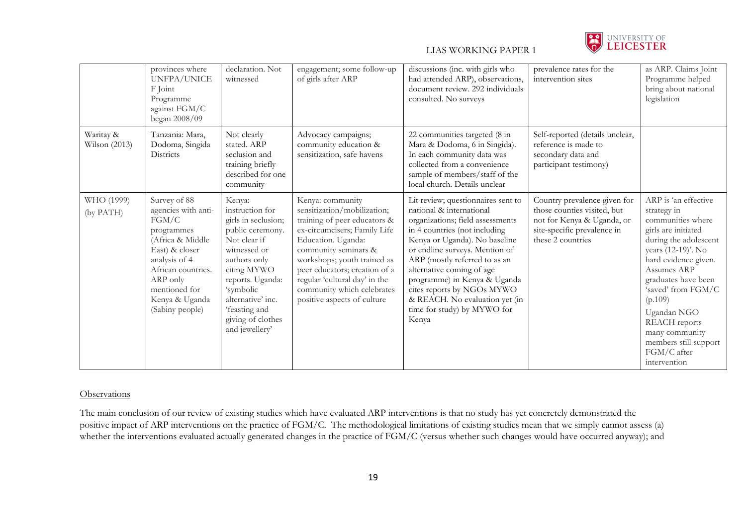

|                              | provinces where<br>UNFPA/UNICE<br>F Joint<br>Programme<br>against FGM/C<br>began 2008/09                                                                                                                  | declaration. Not<br>witnessed                                                                                                                                                                                                                     | engagement; some follow-up<br>of girls after ARP                                                                                                                                                                                                                                                                            | discussions (inc. with girls who<br>had attended ARP), observations,<br>document review. 292 individuals<br>consulted. No surveys                                                                                                                                                                                                                                                                            | prevalence rates for the<br>intervention sites                                                                                                | as ARP. Claims Joint<br>Programme helped<br>bring about national<br>legislation                                                                                                                                                                                                                                                                |
|------------------------------|-----------------------------------------------------------------------------------------------------------------------------------------------------------------------------------------------------------|---------------------------------------------------------------------------------------------------------------------------------------------------------------------------------------------------------------------------------------------------|-----------------------------------------------------------------------------------------------------------------------------------------------------------------------------------------------------------------------------------------------------------------------------------------------------------------------------|--------------------------------------------------------------------------------------------------------------------------------------------------------------------------------------------------------------------------------------------------------------------------------------------------------------------------------------------------------------------------------------------------------------|-----------------------------------------------------------------------------------------------------------------------------------------------|------------------------------------------------------------------------------------------------------------------------------------------------------------------------------------------------------------------------------------------------------------------------------------------------------------------------------------------------|
| Waritay &<br>Wilson $(2013)$ | Tanzania: Mara,<br>Dodoma, Singida<br>Districts                                                                                                                                                           | Not clearly<br>stated. ARP<br>seclusion and<br>training briefly<br>described for one<br>community                                                                                                                                                 | Advocacy campaigns;<br>community education &<br>sensitization, safe havens                                                                                                                                                                                                                                                  | 22 communities targeted (8 in<br>Mara & Dodoma, 6 in Singida).<br>In each community data was<br>collected from a convenience<br>sample of members/staff of the<br>local church. Details unclear                                                                                                                                                                                                              | Self-reported (details unclear,<br>reference is made to<br>secondary data and<br>participant testimony)                                       |                                                                                                                                                                                                                                                                                                                                                |
| WHO (1999)<br>(by PATH)      | Survey of 88<br>agencies with anti-<br>FGM/C<br>programmes<br>(Africa & Middle<br>East) & closer<br>analysis of 4<br>African countries.<br>ARP only<br>mentioned for<br>Kenya & Uganda<br>(Sabiny people) | Kenya:<br>instruction for<br>girls in seclusion;<br>public ceremony.<br>Not clear if<br>witnessed or<br>authors only<br>citing MYWO<br>reports. Uganda:<br>'symbolic<br>alternative' inc.<br>'feasting and<br>giving of clothes<br>and jewellery' | Kenya: community<br>sensitization/mobilization;<br>training of peer educators &<br>ex-circumcisers; Family Life<br>Education. Uganda:<br>community seminars &<br>workshops; youth trained as<br>peer educators; creation of a<br>regular 'cultural day' in the<br>community which celebrates<br>positive aspects of culture | Lit review; questionnaires sent to<br>national & international<br>organizations; field assessments<br>in 4 countries (not including<br>Kenya or Uganda). No baseline<br>or endline surveys. Mention of<br>ARP (mostly referred to as an<br>alternative coming of age<br>programme) in Kenya & Uganda<br>cites reports by NGOs MYWO<br>& REACH. No evaluation yet (in<br>time for study) by MYWO for<br>Kenya | Country prevalence given for<br>those counties visited, but<br>not for Kenya & Uganda, or<br>site-specific prevalence in<br>these 2 countries | ARP is 'an effective<br>strategy in<br>communities where<br>girls are initiated<br>during the adolescent<br>years (12-19)'. No<br>hard evidence given.<br>Assumes ARP<br>graduates have been<br>'saved' from FGM/C<br>(p.109)<br>Ugandan NGO<br><b>REACH</b> reports<br>many community<br>members still support<br>FGM/C after<br>intervention |

### **Observations**

The main conclusion of our review of existing studies which have evaluated ARP interventions is that no study has yet concretely demonstrated the positive impact of ARP interventions on the practice of FGM/C. The methodological limitations of existing studies mean that we simply cannot assess (a) whether the interventions evaluated actually generated changes in the practice of FGM/C (versus whether such changes would have occurred anyway); and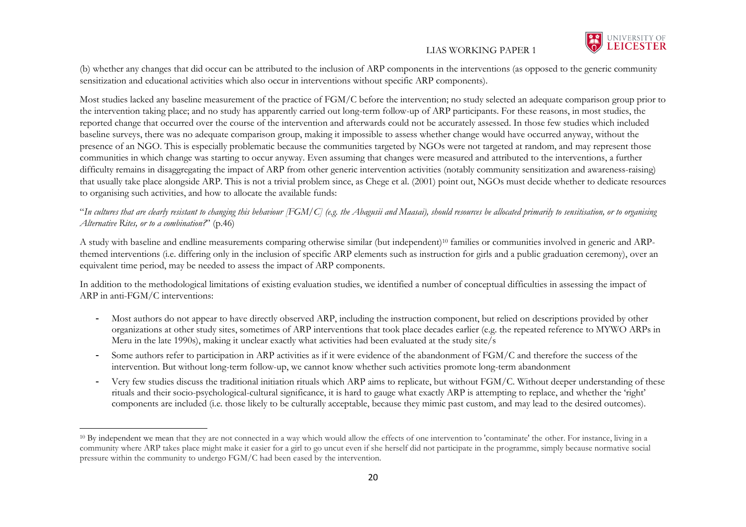

(b) whether any changes that did occur can be attributed to the inclusion of ARP components in the interventions (as opposed to the generic community sensitization and educational activities which also occur in interventions without specific ARP components).

Most studies lacked any baseline measurement of the practice of FGM/C before the intervention; no study selected an adequate comparison group prior to the intervention taking place; and no study has apparently carried out long-term follow-up of ARP participants. For these reasons, in most studies, the reported change that occurred over the course of the intervention and afterwards could not be accurately assessed. In those few studies which included baseline surveys, there was no adequate comparison group, making it impossible to assess whether change would have occurred anyway, without the presence of an NGO. This is especially problematic because the communities targeted by NGOs were not targeted at random, and may represent those communities in which change was starting to occur anyway. Even assuming that changes were measured and attributed to the interventions, a further difficulty remains in disaggregating the impact of ARP from other generic intervention activities (notably community sensitization and awareness-raising) that usually take place alongside ARP. This is not a trivial problem since, as Chege et al. (2001) point out, NGOs must decide whether to dedicate resources to organising such activities, and how to allocate the available funds:

### "*In cultures that are clearly resistant to changing this behaviour [FGM/C] (e.g. the Abagusii and Maasai), should resources be allocated primarily to sensitisation, or to organising Alternative Rites, or to a combination?*" (p.46)

A study with baseline and endline measurements comparing otherwise similar (but independent)<sup>10</sup> families or communities involved in generic and ARPthemed interventions (i.e. differing only in the inclusion of specific ARP elements such as instruction for girls and a public graduation ceremony), over an equivalent time period, may be needed to assess the impact of ARP components.

In addition to the methodological limitations of existing evaluation studies, we identified a number of conceptual difficulties in assessing the impact of ARP in anti-FGM/C interventions:

- Most authors do not appear to have directly observed ARP, including the instruction component, but relied on descriptions provided by other organizations at other study sites, sometimes of ARP interventions that took place decades earlier (e.g. the repeated reference to MYWO ARPs in Meru in the late 1990s), making it unclear exactly what activities had been evaluated at the study site/s
- Some authors refer to participation in ARP activities as if it were evidence of the abandonment of FGM/C and therefore the success of the intervention. But without long-term follow-up, we cannot know whether such activities promote long-term abandonment
- Very few studies discuss the traditional initiation rituals which ARP aims to replicate, but without FGM/C. Without deeper understanding of these rituals and their socio-psychological-cultural significance, it is hard to gauge what exactly ARP is attempting to replace, and whether the 'right' components are included (i.e. those likely to be culturally acceptable, because they mimic past custom, and may lead to the desired outcomes).

 $\overline{\phantom{a}}$ <sup>10</sup> By independent we mean that they are not connected in a way which would allow the effects of one intervention to 'contaminate' the other. For instance, living in a community where ARP takes place might make it easier for a girl to go uncut even if she herself did not participate in the programme, simply because normative social pressure within the community to undergo FGM/C had been eased by the intervention.